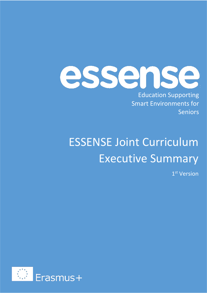essense

Education Supporting Smart Environments for Seniors

## ESSENSE Joint Curriculum Executive Summary

1 st Version

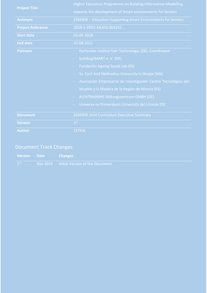|                          | Higher Education Programme on Building Information Modelling                  |  |  |
|--------------------------|-------------------------------------------------------------------------------|--|--|
| <b>Project Title</b>     | towards the development of Smart environments for Seniors                     |  |  |
| <b>Acronym</b>           | <b>ESSENSE - Education Supporting Smart Environments for Seniors.</b>         |  |  |
| <b>Project Reference</b> | 2018-1-DE01-KA203-004292                                                      |  |  |
| <b>Start date</b>        | 01-09-2018                                                                    |  |  |
| <b>End date</b>          | 31-08-2021                                                                    |  |  |
| <b>Partners</b>          | Karlsruher Institut fuer Technologie (DE), Coordinator.                       |  |  |
|                          | buildingSMART e.V. (DE)<br>$\sim$                                             |  |  |
|                          | <b>Fundación Ageing Social Lab (ES)</b><br>$\sim$                             |  |  |
|                          | Ss. Cyril And Methodius University in Skopje (MK)<br>$\overline{\phantom{a}}$ |  |  |
|                          | Asociación Empresarial de Investigación Centro Tecnológico del<br>÷           |  |  |
|                          | Mueble y la Madera de la Región de Murcia (ES)                                |  |  |
|                          | ALFATRAINING Bildungszentrum GMBH (DE)<br>÷.                                  |  |  |
|                          | Univerza na Primorskem Universita del Litorale (SI)                           |  |  |
|                          |                                                                               |  |  |
| <b>Document</b>          | <b>ESSENSE Joint Curriculum Executive Summary</b>                             |  |  |
| <b>Version</b>           | 1 <sup>st</sup>                                                               |  |  |
| <b>Author</b>            | <b>CETEM</b>                                                                  |  |  |

### Document Track Changes

|                 | <b>Version</b> Date Changes |                                                             |
|-----------------|-----------------------------|-------------------------------------------------------------|
| 1 <sup>st</sup> |                             | <b>Example 10 Nov 2019</b> Initial Version of the Document. |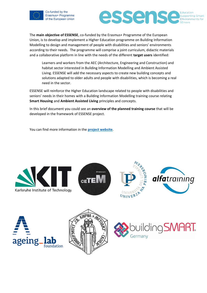

Co-funded by the Erasmus+ Programme of the European Union essense Education **Supporting Smart ENvironments for** 

The **main objective of ESSENSE**, co-funded by the Erasmus+ Programme of the European Union, is to develop and implement a Higher Education programme on Building Information Modelling to design and management of people with disabilities and seniors' environments according to their needs. The programme will comprise a joint curriculum, didactic materials and a collaborative platform in line with the needs of the different **target users** identified:

Learners and workers from the AEC (Architecture, Engineering and Construction) and habitat sector interested in Building Information Modelling and Ambient Assisted Living. ESSENSE will add the necessary aspects to create new building concepts and solutions adapted to older adults and people with disabilities, which is becoming a real need in the sector.

ESSENSE will reinforce the Higher Education landscape related to people with disabilities and seniors' needs in their homes with a Building Information Modelling training course relating **Smart Housing** and **Ambient Assisted Living** principles and concepts.

In this brief document you could see an **overview of the planned training course** that will be developed in the framework of ESSENSE project.

You can find more information in the **[project website](http://essense.finki.ukim.mk/)**.











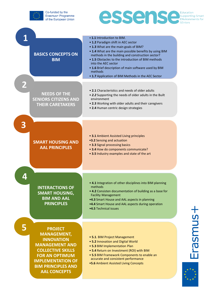



| <b>BASICS CONCEPTS ON</b><br><b>BIM</b>                                                                                                                                                                                      | • 1.1 Introduction to BIM.<br>• 1.2 Paradigm shift in AEC sector<br>• 1.3 What are the main goals of BIM?<br>• 1.4 What are the main possible benefits by using BIM<br>methods in the building and construction sector?<br>• 1.5 Obstacles to the introduction of BIM methods<br>into the AEC sector<br>• 1.6 Brief description of main software used by BIM<br>methods<br>• 1.7 Application of BIM Methods in the AEC Sector |  |
|------------------------------------------------------------------------------------------------------------------------------------------------------------------------------------------------------------------------------|-------------------------------------------------------------------------------------------------------------------------------------------------------------------------------------------------------------------------------------------------------------------------------------------------------------------------------------------------------------------------------------------------------------------------------|--|
| <b>NEEDS OF THE</b><br><b>SENIORS CITIZENS AND</b><br><b>THEIR CARETAKERS</b>                                                                                                                                                | • 2.1 Characteristics and needs of older adults<br>. 2.2 Supporting the needs of older adults in the Built<br>environment<br>• 2.3 Working with older adults and their caregivers<br>• 2.4 Human centric design strategies                                                                                                                                                                                                    |  |
| <b>SMART HOUSING AND</b><br><b>AAL PRINCIPLES</b>                                                                                                                                                                            | • 3.1 Ambient Assisted Living principles<br>.3.2 Sensing and actuation<br>• 3.3 Signal processing basics<br>• 3.4 How do components communicate?<br>• 3.5 Industry examples and state of the art                                                                                                                                                                                                                              |  |
| <b>INTERACTIONS OF</b><br><b>SMART HOUSING,</b><br><b>BIM AND AAL</b><br><b>PRINCIPLES</b>                                                                                                                                   | • 4.1 Integration of other disciplines into BIM planning<br>methods<br>• 4.2 Consisten documentation of building as a base for<br><b>Facility Management</b><br>.4.3 Smart House and AAL aspects in planning<br>.4.4 Smart House and AAL aspects during operation<br>•4.5 Technical issues                                                                                                                                    |  |
| 5<br><b>PROJECT</b><br><b>MANAGEMENT,</b><br><b>INNOVATION</b><br><b>MANAGEMENT AND</b><br><b>COLLECTIVE SKILLS</b><br><b>FOR AN OPTIMUM</b><br><b>IMPLEMENTATION OF</b><br><b>BIM PRINCIPLES AND</b><br><b>AAL CONCEPTS</b> | • 5.1. BIM Project Management<br>• 5.2 Innovation and Digital World<br>• 5.3 BIM Implementation Plan<br>• 5.4 Return on Investment (ROI) with BIM<br>• 5.5 BIM Framework Components to enable an<br>accurate and consistent performance<br>.5.6 Ambient Assisted Living Concepts                                                                                                                                              |  |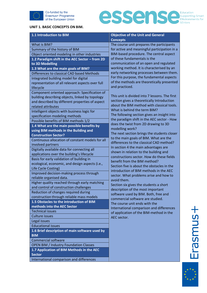



#### **UNIT 1. BASIC CONCEPTS ON BIM.**

| 1.1 Introduction to BIM                                      | <b>Objective of the Unit and General</b><br><b>Concepts</b>               |
|--------------------------------------------------------------|---------------------------------------------------------------------------|
| What is BIM?                                                 | The course unit prepares the participants                                 |
| Summary of the history of BIM                                | for active and meaningful participation in a                              |
| Object oriented modeling in other industries                 | BIM-based procedure. The central aspect                                   |
| 1.2 Paradigm shift in the AEC Sector - from 2D               | of these fundamentals is the                                              |
| to 3D Modelling                                              | communication of an open and regulated                                    |
| 1.3 What are the main goals of BIM?                          | working method. It is characterised by an                                 |
| Differences to classical CAD based Methods                   | early networking processes between them.                                  |
| Integrated building model for digital                        | For this purpose, the fundamental aspects                                 |
| representation of all relevant aspects over full             | of the methods are theoretically presented                                |
| lifecycle                                                    | and practiced.                                                            |
| Component oriented approach: Specification of                |                                                                           |
| building describing objects, linked by topology              | This unit is divided into 7 lessons. The first                            |
| and described by different properties of aspect              | section gives a theoretically Introduction                                |
| related attributes                                           | about the BIM method with classical tools.                                |
| Intelligent objects with business logic for                  | What is behind the term BIM?                                              |
| specification modeling methods                               | The following section gives an insight into                               |
| Possible benefits of BIM methods 1/2                         | the paradigm shift in the AEC sector - How                                |
| 1.4 What are the main possible benefits by                   | does the twist from 2D drawing to 3D                                      |
| using BIM methods in the Building and                        | modelling work?                                                           |
| <b>Construction Sector?</b>                                  | The next section brings the students closer                               |
| Continuous allocation of constant models for all             | to the main goals of BIM. What are the                                    |
| involved partners                                            | differences to the classical CAD method?                                  |
| Digitally available data for connecting all                  | In section 4 the main advantages are                                      |
| applications over the building's lifecycle                   | shown in relation to the building and                                     |
| Basis for early validation of building in                    | constructions sector. How do these fields<br>benefit from the BIM method? |
| ecological, economic, and design aspects (i.e.,              | Section five is about the obstacles in the                                |
| Life Cycle Costing)                                          | introduction of BIM methods in the AEC                                    |
| Improved decision-making process through                     | sector. What problems arise and how to                                    |
| reliable organised data.                                     | avoid them.                                                               |
| Higher quality reached through early matching                | Section six gives the students a short                                    |
| and control of construction challenges                       | description of the most important                                         |
| Reduction of changes required during                         | software used by BIM. Both, free and                                      |
| construction through reliable mass models                    | commercial software are studied.                                          |
| 1.5 Obstacles to the introduction of BIM                     | The course unit ends with the                                             |
| methods into the AEC Sector                                  | International comparison and differences                                  |
| <b>Technical issues</b>                                      | of application of the BIM-method in the                                   |
| <b>Culture issues</b>                                        | AEC sector.                                                               |
| Legal issues                                                 |                                                                           |
| <b>Educational issues</b>                                    |                                                                           |
| 1.6 Brief description of main software used by<br><b>BIM</b> |                                                                           |
| <b>Commercial software</b>                                   |                                                                           |
| <b>OPEN BIM / Industry Foundation Classes</b>                |                                                                           |
| 1.7 Application of BIM Methods in the AEC                    |                                                                           |
| <b>Sector</b>                                                |                                                                           |
| International comparison and differences                     |                                                                           |



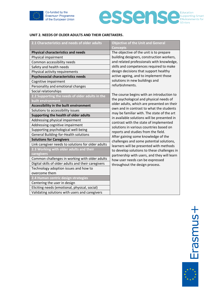



#### **UNIT 2. NEEDS OF OLDER ADULTS AND THEIR CARETAKERS.**

| 2.1 Characteristics and needs of older adults       | <b>Objective of the Unit and General</b><br><b>Concepts</b>                            |
|-----------------------------------------------------|----------------------------------------------------------------------------------------|
| <b>Physical characteristics and needs</b>           | The objective of the unit is to prepare                                                |
| Physical impairment                                 | building designers, construction workers,                                              |
| Common accessibility needs                          | and related professionals with knowledge,                                              |
| Safety and health needs                             | skills and competences required to make                                                |
| Physical activity requirements                      | design decisions that support healthy                                                  |
| <b>Psychosocial characteristics needs</b>           | active ageing, and to implement those                                                  |
| Cognitive impairment                                | solutions in new buildings and                                                         |
| Personality and emotional changes                   | refurbishments.                                                                        |
| Social relationships                                |                                                                                        |
| 2.2 Supporting the needs of older adults in the     | The course begins with an introduction to                                              |
| built environment                                   | the psychological and physical needs of                                                |
| Accessibility in the built environment              | older adults, which are presented on their<br>own and in contrast to what the students |
| Solutions to accessibility issues                   | may be familiar with. The state of the art                                             |
| Supporting the health of older adults               | in available solutions will be presented in                                            |
| Addressing physical impairment                      | contrast with the state of implemented                                                 |
| Addressing cognitive impairment                     | solutions in various countries based on                                                |
| Supporting psychological well-being                 | reports and studies from the field.                                                    |
| General Building-for-Health solutions               | After gaining some knowledge of the                                                    |
| <b>Solutions for Caregivers</b>                     | challenges and some potential solutions,                                               |
| Link caregiver needs to solutions for older adults  | learners will be presented with methods                                                |
| 2.3 Working with older adults and their             | to develop solutions to these challenges in                                            |
| caregivers                                          | partnership with users, and they will learn                                            |
| Common challenges in working with older adults      | how user needs can be expressed                                                        |
| Digital skills of older adults and their caregivers | throughout the design process.                                                         |
| Technology adoption issues and how to               |                                                                                        |
| overcome them                                       |                                                                                        |
| 2.4 Human centric design strategies                 |                                                                                        |
| Centering the user in design                        |                                                                                        |
| Eliciting needs (emotional, physical, social)       |                                                                                        |
| Validating solutions with users and caregivers      |                                                                                        |

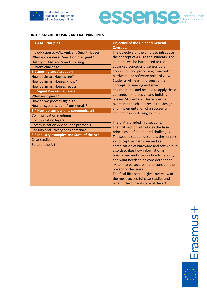



#### **UNIT 3. SMART HOUSING AND AAL PRINCIPLES.**

| <b>3.1 AAL Principles</b>                  | <b>Objective of the Unit and General</b>                                    |
|--------------------------------------------|-----------------------------------------------------------------------------|
|                                            | <b>Concepts</b>                                                             |
| Introduction to AAL, AmL and Smart Houses  | The objective of the unit is to introduce                                   |
| What is considered Smart or Intelligent?   | the concept of AAL to the students. The                                     |
| <b>History of AAL and Smart Housing</b>    | students will be introduced to the                                          |
| <b>Current challenges</b>                  | advanced concepts of sensor data                                            |
| <b>3.2 Sensing and Actuation</b>           | acquisition and processing from both                                        |
| How do Smart Houses see?                   | hardware and software point of view.                                        |
| How do Smart Houses know?                  | Students will learn thoroughly the                                          |
| How do Smart Houses react?                 | concepts of sensing and smart                                               |
| <b>3.3 Signal Processing Basics</b>        | environments and be able to apply these                                     |
| What are signals?                          | concepts in the design and building                                         |
| How do we process signals?                 | phases. Students will learn how to                                          |
| How do systems learn from signals?         | overcome the challenges in the design<br>and implementation of a successful |
| 3.4 How do components communicate?         | ambient assisted living system.                                             |
| <b>Communication mediums</b>               |                                                                             |
| <b>Commnication layers</b>                 | The unit is divided in 5 sections.                                          |
| Communication devices and protocols        | The first section introduces the basic                                      |
| <b>Security and Privacy considerations</b> | principles, definitions and challenges.                                     |
| 3.5 Industry examples and State of the Art | The second section describes the sensors                                    |
| Case-studies                               | as concept, as hardware and as                                              |
| State of the Art                           | combination of hardware and software. It                                    |
|                                            | also describes how information is                                           |
|                                            | transferred and introduction to security                                    |
|                                            | and what needs to be considered for a                                       |
|                                            | system to be secure and to consider the                                     |
|                                            | privacy of the users.                                                       |
|                                            | The final fifth section gives overview of                                   |
|                                            | the most successful case-studies and                                        |
|                                            | what is the current state of the art.                                       |

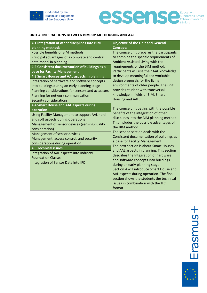

Co-funded by the Erasmus+ Programme of the European Union

# **essential Service** Environments for

#### **UNIT 4. INTERACTIONS BETWEEN BIM, SMART HOUSING AND AAL.**

| 4.1 Integration of other disciplines into BIM     | <b>Objective of the Unit and General</b>                                  |
|---------------------------------------------------|---------------------------------------------------------------------------|
| planning methods                                  | <b>Concepts</b>                                                           |
| Possible benefits of BIM methods                  | The course unit prepares the participants                                 |
| Principal advantages of a complete and central    | to combine the specific requirements of                                   |
| data model in planning                            | Ambient Assisted Living with the                                          |
| 4.2 Consistent documentation of buildings as a    | requirements of the BIM method.                                           |
| base for Facility Management                      | Participants will use their AAL knowledge                                 |
| 4.3 Smart Houses and AAL aspects in planning      | to develop meaningful and workable                                        |
| Integration of hardware and software concepts     | design proposals for the living                                           |
| into buildings during an early planning stage     | environments of older people. The unit                                    |
| Planning considerations for sensors and actuators | provides student with transversal                                         |
| Planning for network communication                | knowledge in fields of BIM, Smart                                         |
| Security considerations                           | Housing and AAL.                                                          |
| 4.4 Smart House and AAL aspects during            |                                                                           |
| operation                                         | The course unit begins with the possible                                  |
| Using Facility Management to support AAL hard     | benefits of the integration of other                                      |
| and soft aspects during operations                | disciplines into the BIM planning method.                                 |
| Management of sensor devices (sensing quality     | This includes the possible advantages of                                  |
| consideration)                                    | the BIM method.                                                           |
| Management of sensor devices                      | The second section deals with the                                         |
| Management, access control, and security          | Consistent documentation of buildings as                                  |
| considerations during operation                   | a base for Facility Management.<br>The next section is about Smart Houses |
| <b>4.5 Technical issues</b>                       | and AAL aspects in planning. This section                                 |
| Integration of AAL aspects into Industry          | describes the Integration of hardware                                     |
| <b>Foundation Classes</b>                         | and software concepts into buildings                                      |
| Integration of Sensor Data into IFC               | during an early planning stage.                                           |
|                                                   | Section 4 will introduce Smart House and                                  |
|                                                   | AAL aspects during operation. The final                                   |
|                                                   | section shows the students the technical                                  |
|                                                   | issues in combination with the IFC                                        |
|                                                   | format.                                                                   |
|                                                   |                                                                           |

Erasmus+